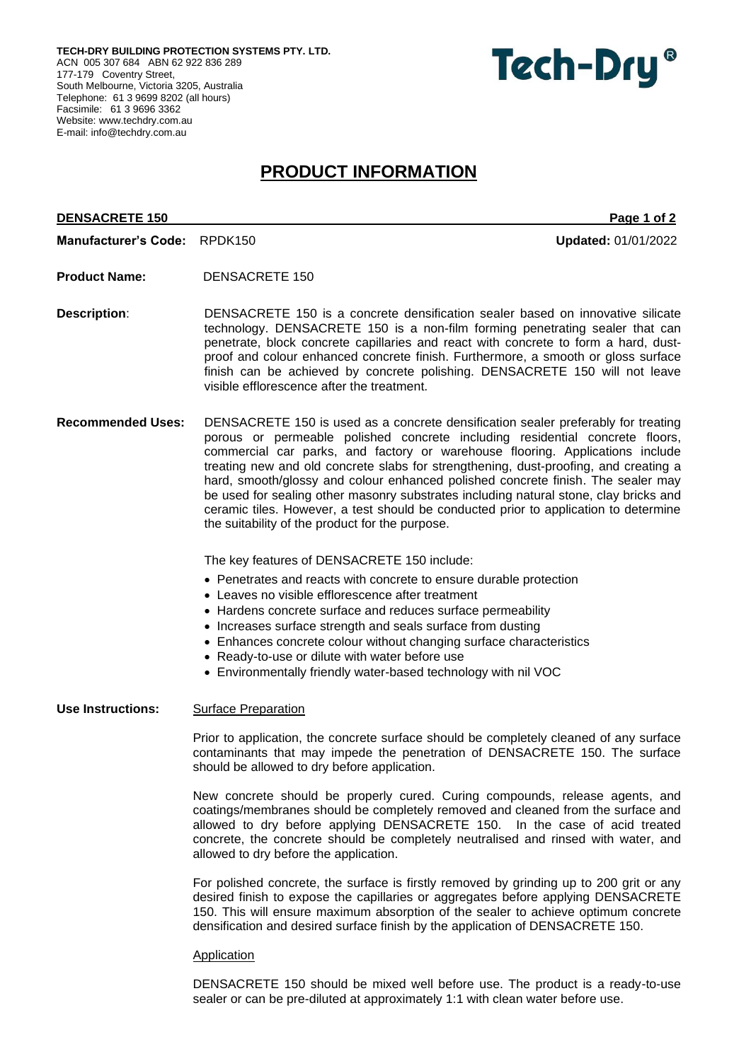**TECH-DRY BUILDING PROTECTION SYSTEMS PTY. LTD.** ACN 005 307 684 ABN 62 922 836 289 177-179 Coventry Street, South Melbourne, Victoria 3205, Australia Telephone: 61 3 9699 8202 (all hours) Facsimile: 61 3 9696 3362 Website[: www.techdry.com.au](http://www.techdry.com.au/) E-mail: [info@techdry.com.au](mailto:info@techdry.com.au)



# **PRODUCT INFORMATION**

## **DENSACRETE 150** Page 1 of 2

**Manufacturer's Code:** RPDK150 **Updated:** 01/01/2022

- **Product Name:** DENSACRETE 150
- **Description:** DENSACRETE 150 is a concrete densification sealer based on innovative silicate technology. DENSACRETE 150 is a non-film forming penetrating sealer that can penetrate, block concrete capillaries and react with concrete to form a hard, dustproof and colour enhanced concrete finish. Furthermore, a smooth or gloss surface finish can be achieved by concrete polishing. DENSACRETE 150 will not leave visible efflorescence after the treatment.
- **Recommended Uses:** DENSACRETE 150 is used as a concrete densification sealer preferably for treating porous or permeable polished concrete including residential concrete floors, commercial car parks, and factory or warehouse flooring. Applications include treating new and old concrete slabs for strengthening, dust-proofing, and creating a hard, smooth/glossy and colour enhanced polished concrete finish. The sealer may be used for sealing other masonry substrates including natural stone, clay bricks and ceramic tiles. However, a test should be conducted prior to application to determine the suitability of the product for the purpose.

The key features of DENSACRETE 150 include:

- Penetrates and reacts with concrete to ensure durable protection
- Leaves no visible efflorescence after treatment
- Hardens concrete surface and reduces surface permeability
- Increases surface strength and seals surface from dusting
- Enhances concrete colour without changing surface characteristics
- Ready-to-use or dilute with water before use
- Environmentally friendly water-based technology with nil VOC

# **Use Instructions:** Surface Preparation

Prior to application, the concrete surface should be completely cleaned of any surface contaminants that may impede the penetration of DENSACRETE 150. The surface should be allowed to dry before application.

New concrete should be properly cured. Curing compounds, release agents, and coatings/membranes should be completely removed and cleaned from the surface and allowed to dry before applying DENSACRETE 150. In the case of acid treated concrete, the concrete should be completely neutralised and rinsed with water, and allowed to dry before the application.

For polished concrete, the surface is firstly removed by grinding up to 200 grit or any desired finish to expose the capillaries or aggregates before applying DENSACRETE 150. This will ensure maximum absorption of the sealer to achieve optimum concrete densification and desired surface finish by the application of DENSACRETE 150.

#### **Application**

DENSACRETE 150 should be mixed well before use. The product is a ready-to-use sealer or can be pre-diluted at approximately 1:1 with clean water before use.